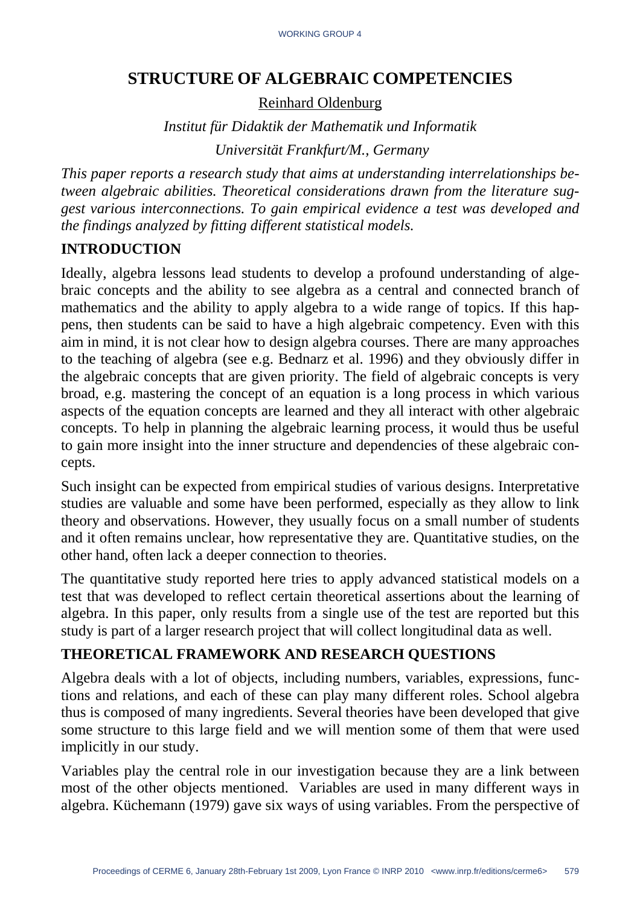# **STRUCTURE OF ALGEBRAIC COMPETENCIES**

Reinhard Oldenburg

*Institut für Didaktik der Mathematik und Informatik Universität Frankfurt/M., Germany* 

*This paper reports a research study that aims at understanding interrelationships between algebraic abilities. Theoretical considerations drawn from the literature suggest various interconnections. To gain empirical evidence a test was developed and the findings analyzed by fitting different statistical models.* 

## **INTRODUCTION**

Ideally, algebra lessons lead students to develop a profound understanding of algebraic concepts and the ability to see algebra as a central and connected branch of mathematics and the ability to apply algebra to a wide range of topics. If this happens, then students can be said to have a high algebraic competency. Even with this aim in mind, it is not clear how to design algebra courses. There are many approaches to the teaching of algebra (see e.g. Bednarz et al. 1996) and they obviously differ in the algebraic concepts that are given priority. The field of algebraic concepts is very broad, e.g. mastering the concept of an equation is a long process in which various aspects of the equation concepts are learned and they all interact with other algebraic concepts. To help in planning the algebraic learning process, it would thus be useful to gain more insight into the inner structure and dependencies of these algebraic concepts.

Such insight can be expected from empirical studies of various designs. Interpretative studies are valuable and some have been performed, especially as they allow to link theory and observations. However, they usually focus on a small number of students and it often remains unclear, how representative they are. Quantitative studies, on the other hand, often lack a deeper connection to theories.

The quantitative study reported here tries to apply advanced statistical models on a test that was developed to reflect certain theoretical assertions about the learning of algebra. In this paper, only results from a single use of the test are reported but this study is part of a larger research project that will collect longitudinal data as well.

## **THEORETICAL FRAMEWORK AND RESEARCH QUESTIONS**

Algebra deals with a lot of objects, including numbers, variables, expressions, functions and relations, and each of these can play many different roles. School algebra thus is composed of many ingredients. Several theories have been developed that give some structure to this large field and we will mention some of them that were used implicitly in our study.

Variables play the central role in our investigation because they are a link between most of the other objects mentioned. Variables are used in many different ways in algebra. Küchemann (1979) gave six ways of using variables. From the perspective of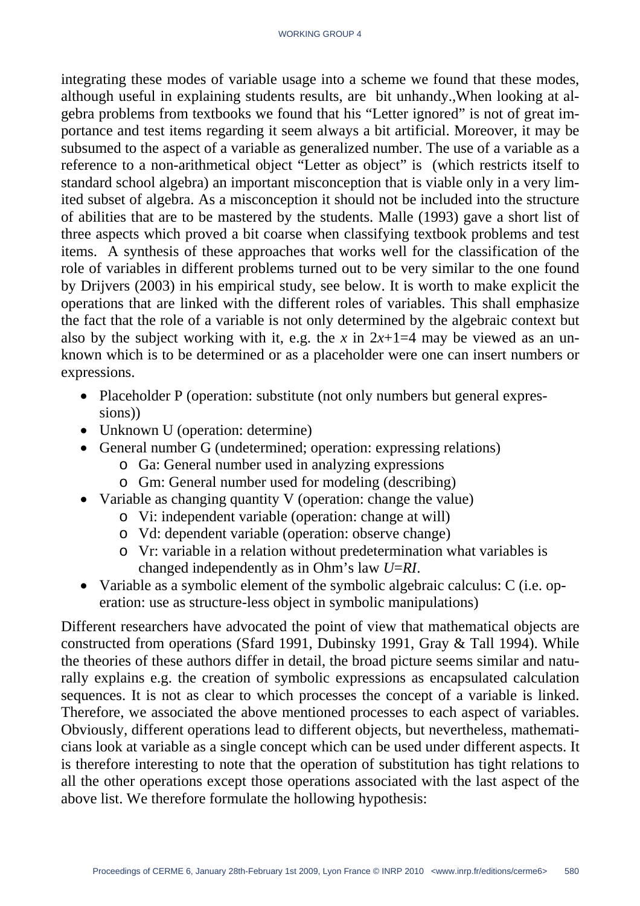integrating these modes of variable usage into a scheme we found that these modes, although useful in explaining students results, are bit unhandy.,When looking at algebra problems from textbooks we found that his "Letter ignored" is not of great importance and test items regarding it seem always a bit artificial. Moreover, it may be subsumed to the aspect of a variable as generalized number. The use of a variable as a reference to a non-arithmetical object "Letter as object" is (which restricts itself to standard school algebra) an important misconception that is viable only in a very limited subset of algebra. As a misconception it should not be included into the structure of abilities that are to be mastered by the students. Malle (1993) gave a short list of three aspects which proved a bit coarse when classifying textbook problems and test items. A synthesis of these approaches that works well for the classification of the role of variables in different problems turned out to be very similar to the one found by Drijvers (2003) in his empirical study, see below. It is worth to make explicit the operations that are linked with the different roles of variables. This shall emphasize the fact that the role of a variable is not only determined by the algebraic context but also by the subject working with it, e.g. the *x* in  $2x+1=4$  may be viewed as an unknown which is to be determined or as a placeholder were one can insert numbers or expressions.

- Placeholder P (operation: substitute (not only numbers but general expressions))
- Unknown U (operation: determine)
- General number G (undetermined; operation: expressing relations)
	- o Ga: General number used in analyzing expressions
	- o Gm: General number used for modeling (describing)
- Variable as changing quantity V (operation: change the value)
	- o Vi: independent variable (operation: change at will)
	- o Vd: dependent variable (operation: observe change)
	- o Vr: variable in a relation without predetermination what variables is changed independently as in Ohm's law *U*=*RI*.
- Variable as a symbolic element of the symbolic algebraic calculus: C (i.e. operation: use as structure-less object in symbolic manipulations)

Different researchers have advocated the point of view that mathematical objects are constructed from operations (Sfard 1991, Dubinsky 1991, Gray & Tall 1994). While the theories of these authors differ in detail, the broad picture seems similar and naturally explains e.g. the creation of symbolic expressions as encapsulated calculation sequences. It is not as clear to which processes the concept of a variable is linked. Therefore, we associated the above mentioned processes to each aspect of variables. Obviously, different operations lead to different objects, but nevertheless, mathematicians look at variable as a single concept which can be used under different aspects. It is therefore interesting to note that the operation of substitution has tight relations to all the other operations except those operations associated with the last aspect of the above list. We therefore formulate the hollowing hypothesis: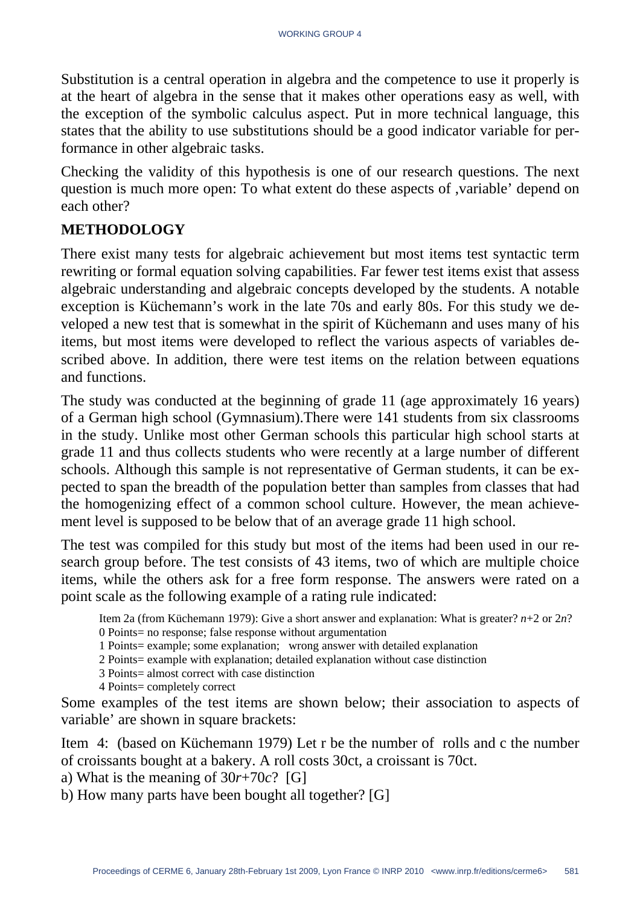Substitution is a central operation in algebra and the competence to use it properly is at the heart of algebra in the sense that it makes other operations easy as well, with the exception of the symbolic calculus aspect. Put in more technical language, this states that the ability to use substitutions should be a good indicator variable for performance in other algebraic tasks.

Checking the validity of this hypothesis is one of our research questions. The next question is much more open: To what extent do these aspects of ,variable' depend on each other?

### **METHODOLOGY**

There exist many tests for algebraic achievement but most items test syntactic term rewriting or formal equation solving capabilities. Far fewer test items exist that assess algebraic understanding and algebraic concepts developed by the students. A notable exception is Küchemann's work in the late 70s and early 80s. For this study we developed a new test that is somewhat in the spirit of Küchemann and uses many of his items, but most items were developed to reflect the various aspects of variables described above. In addition, there were test items on the relation between equations and functions.

The study was conducted at the beginning of grade 11 (age approximately 16 years) of a German high school (Gymnasium).There were 141 students from six classrooms in the study. Unlike most other German schools this particular high school starts at grade 11 and thus collects students who were recently at a large number of different schools. Although this sample is not representative of German students, it can be expected to span the breadth of the population better than samples from classes that had the homogenizing effect of a common school culture. However, the mean achievement level is supposed to be below that of an average grade 11 high school.

The test was compiled for this study but most of the items had been used in our research group before. The test consists of 43 items, two of which are multiple choice items, while the others ask for a free form response. The answers were rated on a point scale as the following example of a rating rule indicated:

Item 2a (from Küchemann 1979): Give a short answer and explanation: What is greater? *n*+2 or 2*n*? 0 Points= no response; false response without argumentation

1 Points= example; some explanation; wrong answer with detailed explanation

2 Points= example with explanation; detailed explanation without case distinction

3 Points= almost correct with case distinction

4 Points= completely correct

Some examples of the test items are shown below; their association to aspects of variable' are shown in square brackets:

Item 4: (based on Küchemann 1979) Let r be the number of rolls and c the number of croissants bought at a bakery. A roll costs 30ct, a croissant is 70ct.

a) What is the meaning of 30*r*+70*c*? [G]

b) How many parts have been bought all together? [G]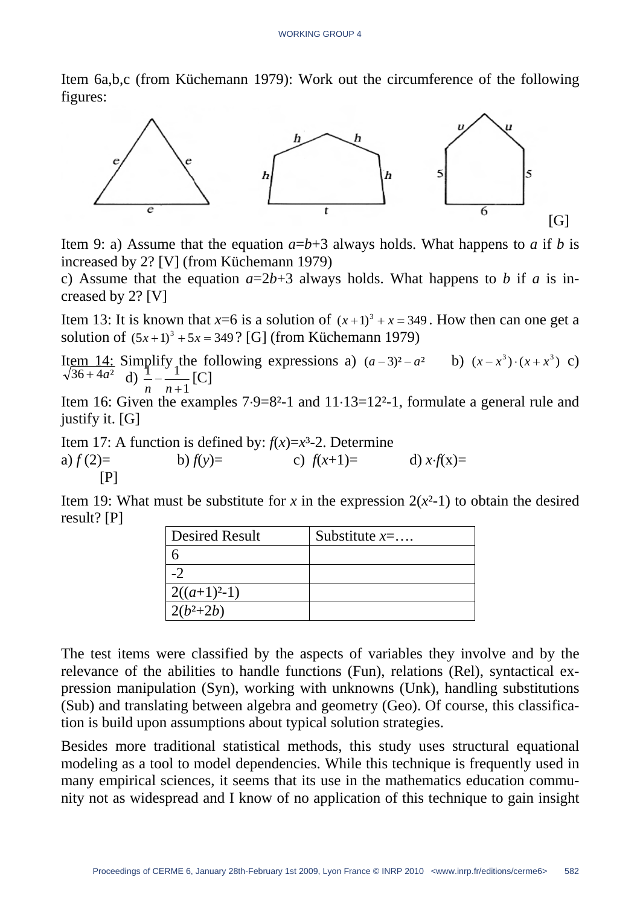Item 6a,b,c (from Küchemann 1979): Work out the circumference of the following figures:



Item 9: a) Assume that the equation  $a=b+3$  always holds. What happens to *a* if *b* is increased by 2? [V] (from Küchemann 1979)

c) Assume that the equation  $a=2b+3$  always holds. What happens to b if a is increased by 2? [V]

Item 13: It is known that  $x=6$  is a solution of  $(x+1)^3 + x = 349$ . How then can one get a solution of  $(5x+1)^3 + 5x = 349$ ? [G] (from Küchemann 1979)

Item 14: Simplify the following expressions a)  $(a-3)^2 - a^2$  b)  $(x-x^3) \cdot (x+x^3)$  c)  $36 + 4a^2$  d)  $\frac{1}{n} - \frac{1}{n+1}$  [C]  $1^{111}$ 

Item 16: Given the examples 7⋅9=8²-1 and 11⋅13=12²-1, formulate a general rule and justify it. [G]

Item 17: A function is defined by:  $f(x)=x^3-2$ . Determine a)  $f(2)=$  b)  $f(y)=$  c)  $f(x+1)=$  d)  $x \cdot f(x)=$  $[P]$ 

Item 19: What must be substitute for *x* in the expression  $2(x^2-1)$  to obtain the desired result? [P]

| <b>Desired Result</b> | Substitute $x = $ |
|-----------------------|-------------------|
|                       |                   |
| $\cdot$               |                   |
| $2((a+1)^{2}-1)$      |                   |
| $2(b^2+2b)$           |                   |

The test items were classified by the aspects of variables they involve and by the relevance of the abilities to handle functions (Fun), relations (Rel), syntactical expression manipulation (Syn), working with unknowns (Unk), handling substitutions (Sub) and translating between algebra and geometry (Geo). Of course, this classification is build upon assumptions about typical solution strategies.

Besides more traditional statistical methods, this study uses structural equational modeling as a tool to model dependencies. While this technique is frequently used in many empirical sciences, it seems that its use in the mathematics education community not as widespread and I know of no application of this technique to gain insight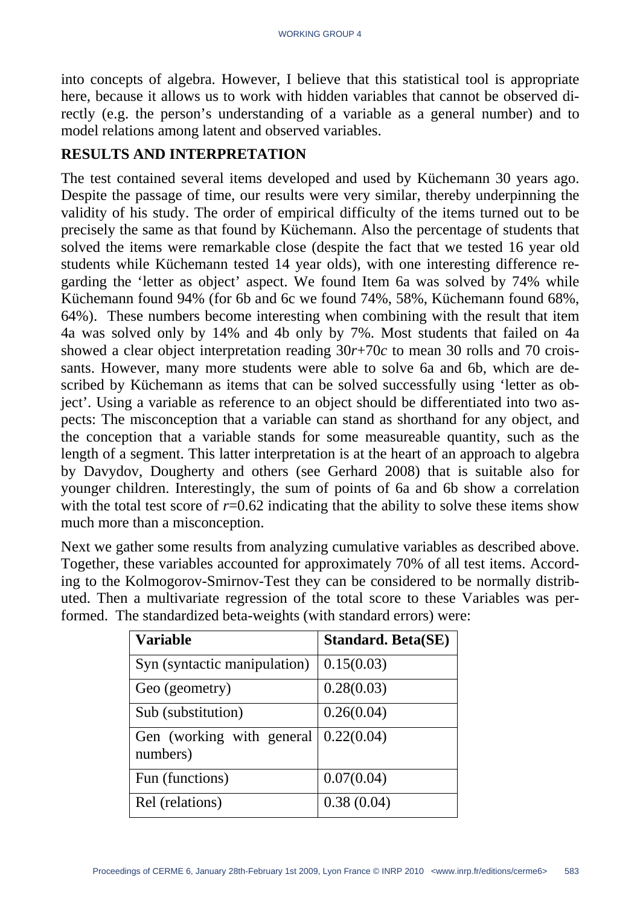into concepts of algebra. However, I believe that this statistical tool is appropriate here, because it allows us to work with hidden variables that cannot be observed directly (e.g. the person's understanding of a variable as a general number) and to model relations among latent and observed variables.

#### **RESULTS AND INTERPRETATION**

The test contained several items developed and used by Küchemann 30 years ago. Despite the passage of time, our results were very similar, thereby underpinning the validity of his study. The order of empirical difficulty of the items turned out to be precisely the same as that found by Küchemann. Also the percentage of students that solved the items were remarkable close (despite the fact that we tested 16 year old students while Küchemann tested 14 year olds), with one interesting difference regarding the 'letter as object' aspect. We found Item 6a was solved by 74% while Küchemann found 94% (for 6b and 6c we found 74%, 58%, Küchemann found 68%, 64%). These numbers become interesting when combining with the result that item 4a was solved only by 14% and 4b only by 7%. Most students that failed on 4a showed a clear object interpretation reading 30*r*+70*c* to mean 30 rolls and 70 croissants. However, many more students were able to solve 6a and 6b, which are described by Küchemann as items that can be solved successfully using 'letter as object'. Using a variable as reference to an object should be differentiated into two aspects: The misconception that a variable can stand as shorthand for any object, and the conception that a variable stands for some measureable quantity, such as the length of a segment. This latter interpretation is at the heart of an approach to algebra by Davydov, Dougherty and others (see Gerhard 2008) that is suitable also for younger children. Interestingly, the sum of points of 6a and 6b show a correlation with the total test score of  $r=0.62$  indicating that the ability to solve these items show much more than a misconception.

Next we gather some results from analyzing cumulative variables as described above. Together, these variables accounted for approximately 70% of all test items. According to the Kolmogorov-Smirnov-Test they can be considered to be normally distributed. Then a multivariate regression of the total score to these Variables was performed. The standardized beta-weights (with standard errors) were:

| <b>Variable</b>                       | <b>Standard. Beta(SE)</b> |
|---------------------------------------|---------------------------|
| Syn (syntactic manipulation)          | 0.15(0.03)                |
| Geo (geometry)                        | 0.28(0.03)                |
| Sub (substitution)                    | 0.26(0.04)                |
| Gen (working with general<br>numbers) | 0.22(0.04)                |
| Fun (functions)                       | 0.07(0.04)                |
| Rel (relations)                       | 0.38(0.04)                |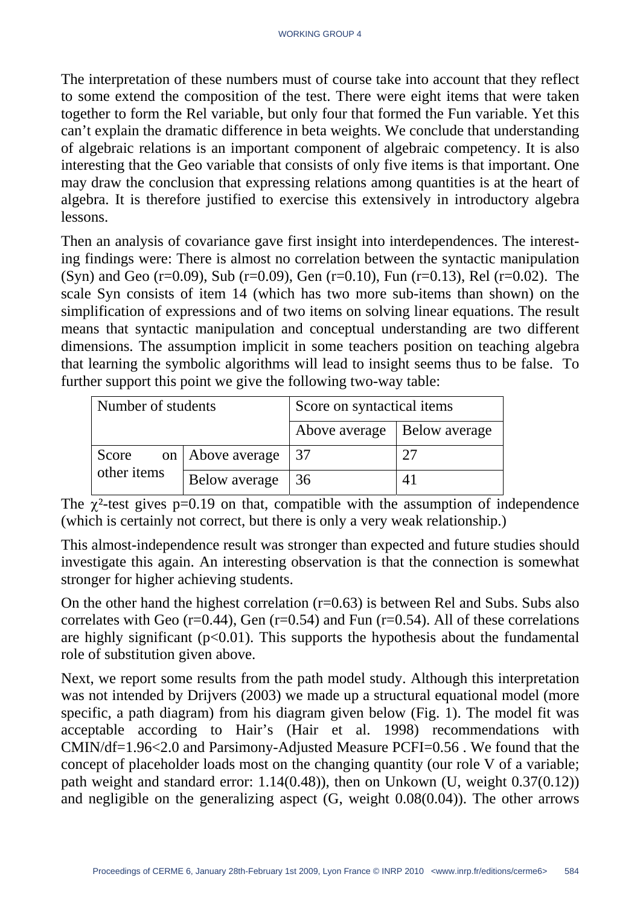The interpretation of these numbers must of course take into account that they reflect to some extend the composition of the test. There were eight items that were taken together to form the Rel variable, but only four that formed the Fun variable. Yet this can't explain the dramatic difference in beta weights. We conclude that understanding of algebraic relations is an important component of algebraic competency. It is also interesting that the Geo variable that consists of only five items is that important. One may draw the conclusion that expressing relations among quantities is at the heart of algebra. It is therefore justified to exercise this extensively in introductory algebra lessons.

Then an analysis of covariance gave first insight into interdependences. The interesting findings were: There is almost no correlation between the syntactic manipulation (Syn) and Geo (r=0.09), Sub (r=0.09), Gen (r=0.10), Fun (r=0.13), Rel (r=0.02). The scale Syn consists of item 14 (which has two more sub-items than shown) on the simplification of expressions and of two items on solving linear equations. The result means that syntactic manipulation and conceptual understanding are two different dimensions. The assumption implicit in some teachers position on teaching algebra that learning the symbolic algorithms will lead to insight seems thus to be false. To further support this point we give the following two-way table:

| Number of students |                         | Score on syntactical items    |  |  |
|--------------------|-------------------------|-------------------------------|--|--|
|                    |                         | Above average   Below average |  |  |
| Score              | on   Above average   37 |                               |  |  |
| other items        | Below average           | $\overline{36}$               |  |  |

The  $\chi^2$ -test gives p=0.19 on that, compatible with the assumption of independence (which is certainly not correct, but there is only a very weak relationship.)

This almost-independence result was stronger than expected and future studies should investigate this again. An interesting observation is that the connection is somewhat stronger for higher achieving students.

On the other hand the highest correlation (r=0.63) is between Rel and Subs. Subs also correlates with Geo ( $r=0.44$ ), Gen ( $r=0.54$ ) and Fun ( $r=0.54$ ). All of these correlations are highly significant  $(p<0.01)$ . This supports the hypothesis about the fundamental role of substitution given above.

Next, we report some results from the path model study. Although this interpretation was not intended by Drijvers (2003) we made up a structural equational model (more specific, a path diagram) from his diagram given below (Fig. 1). The model fit was acceptable according to Hair's (Hair et al. 1998) recommendations with CMIN/df=1.96<2.0 and Parsimony-Adjusted Measure PCFI=0.56 . We found that the concept of placeholder loads most on the changing quantity (our role V of a variable; path weight and standard error: 1.14(0.48)), then on Unkown (U, weight 0.37(0.12)) and negligible on the generalizing aspect (G, weight 0.08(0.04)). The other arrows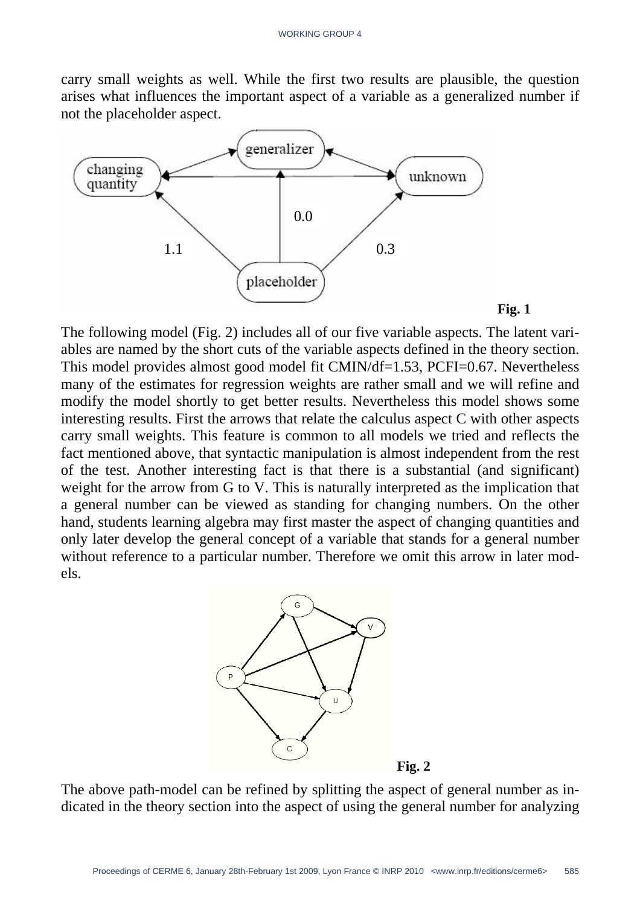carry small weights as well. While the first two results are plausible, the question arises what influences the important aspect of a variable as a generalized number if not the placeholder aspect.



**Fig. 1**

The following model (Fig. 2) includes all of our five variable aspects. The latent variables are named by the short cuts of the variable aspects defined in the theory section. This model provides almost good model fit CMIN/df=1.53, PCFI=0.67. Nevertheless many of the estimates for regression weights are rather small and we will refine and modify the model shortly to get better results. Nevertheless this model shows some interesting results. First the arrows that relate the calculus aspect C with other aspects carry small weights. This feature is common to all models we tried and reflects the fact mentioned above, that syntactic manipulation is almost independent from the rest of the test. Another interesting fact is that there is a substantial (and significant) weight for the arrow from G to V. This is naturally interpreted as the implication that a general number can be viewed as standing for changing numbers. On the other hand, students learning algebra may first master the aspect of changing quantities and only later develop the general concept of a variable that stands for a general number without reference to a particular number. Therefore we omit this arrow in later models.



The above path-model can be refined by splitting the aspect of general number as indicated in the theory section into the aspect of using the general number for analyzing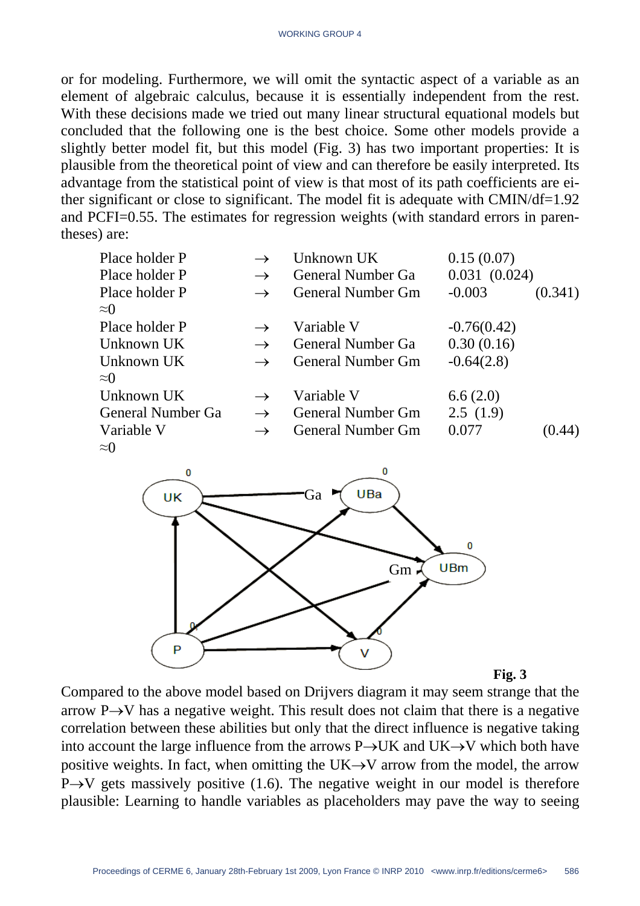or for modeling. Furthermore, we will omit the syntactic aspect of a variable as an element of algebraic calculus, because it is essentially independent from the rest. With these decisions made we tried out many linear structural equational models but concluded that the following one is the best choice. Some other models provide a slightly better model fit, but this model (Fig. 3) has two important properties: It is plausible from the theoretical point of view and can therefore be easily interpreted. Its advantage from the statistical point of view is that most of its path coefficients are either significant or close to significant. The model fit is adequate with CMIN/df=1.92 and PCFI=0.55. The estimates for regression weights (with standard errors in parentheses) are:

| Place holder P    |               | Unknown UK               | 0.15(0.07)    |         |
|-------------------|---------------|--------------------------|---------------|---------|
| Place holder P    |               | <b>General Number Ga</b> | 0.031(0.024)  |         |
| Place holder P    |               | <b>General Number Gm</b> | $-0.003$      | (0.341) |
| $\approx 0$       |               |                          |               |         |
| Place holder P    |               | Variable V               | $-0.76(0.42)$ |         |
| Unknown UK        | $\rightarrow$ | <b>General Number Ga</b> | 0.30(0.16)    |         |
| Unknown UK        | $\rightarrow$ | <b>General Number Gm</b> | $-0.64(2.8)$  |         |
| $\approx 0$       |               |                          |               |         |
| Unknown UK        |               | Variable V               | 6.6(2.0)      |         |
| General Number Ga | $\rightarrow$ | <b>General Number Gm</b> | 2.5(1.9)      |         |
| Variable V        | $\rightarrow$ | <b>General Number Gm</b> | 0.077         | (0.44)  |
| $\approx$ 0       |               |                          |               |         |



**Fig. 3**

Compared to the above model based on Drijvers diagram it may seem strange that the arrow P $\rightarrow$ V has a negative weight. This result does not claim that there is a negative correlation between these abilities but only that the direct influence is negative taking into account the large influence from the arrows P→UK and UK→V which both have positive weights. In fact, when omitting the UK $\rightarrow$ V arrow from the model, the arrow  $P \rightarrow V$  gets massively positive (1.6). The negative weight in our model is therefore plausible: Learning to handle variables as placeholders may pave the way to seeing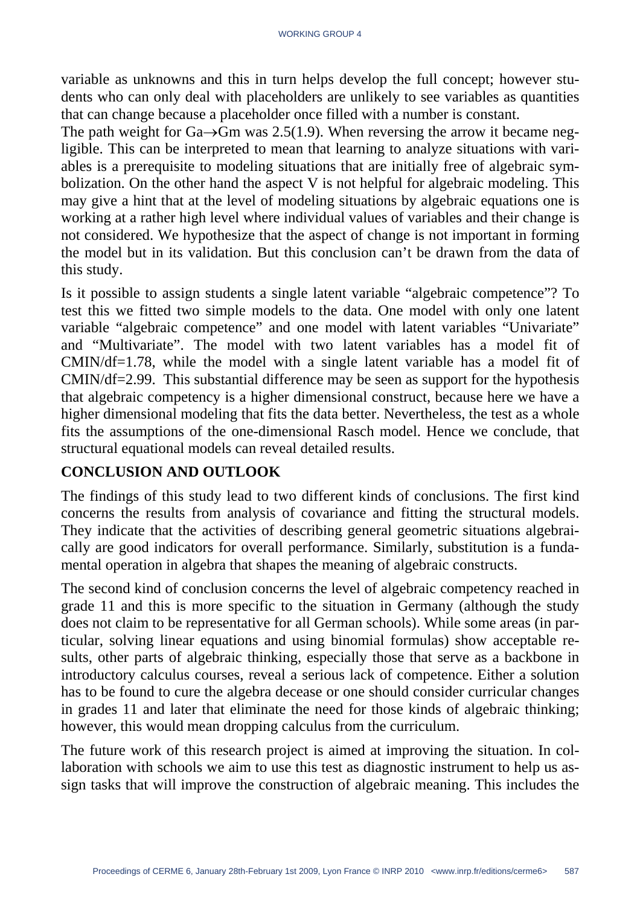variable as unknowns and this in turn helps develop the full concept; however students who can only deal with placeholders are unlikely to see variables as quantities that can change because a placeholder once filled with a number is constant.

The path weight for Ga $\rightarrow$ Gm was 2.5(1.9). When reversing the arrow it became negligible. This can be interpreted to mean that learning to analyze situations with variables is a prerequisite to modeling situations that are initially free of algebraic symbolization. On the other hand the aspect V is not helpful for algebraic modeling. This may give a hint that at the level of modeling situations by algebraic equations one is working at a rather high level where individual values of variables and their change is not considered. We hypothesize that the aspect of change is not important in forming the model but in its validation. But this conclusion can't be drawn from the data of this study.

Is it possible to assign students a single latent variable "algebraic competence"? To test this we fitted two simple models to the data. One model with only one latent variable "algebraic competence" and one model with latent variables "Univariate" and "Multivariate". The model with two latent variables has a model fit of CMIN/df=1.78, while the model with a single latent variable has a model fit of CMIN/df=2.99. This substantial difference may be seen as support for the hypothesis that algebraic competency is a higher dimensional construct, because here we have a higher dimensional modeling that fits the data better. Nevertheless, the test as a whole fits the assumptions of the one-dimensional Rasch model. Hence we conclude, that structural equational models can reveal detailed results.

### **CONCLUSION AND OUTLOOK**

The findings of this study lead to two different kinds of conclusions. The first kind concerns the results from analysis of covariance and fitting the structural models. They indicate that the activities of describing general geometric situations algebraically are good indicators for overall performance. Similarly, substitution is a fundamental operation in algebra that shapes the meaning of algebraic constructs.

The second kind of conclusion concerns the level of algebraic competency reached in grade 11 and this is more specific to the situation in Germany (although the study does not claim to be representative for all German schools). While some areas (in particular, solving linear equations and using binomial formulas) show acceptable results, other parts of algebraic thinking, especially those that serve as a backbone in introductory calculus courses, reveal a serious lack of competence. Either a solution has to be found to cure the algebra decease or one should consider curricular changes in grades 11 and later that eliminate the need for those kinds of algebraic thinking; however, this would mean dropping calculus from the curriculum.

The future work of this research project is aimed at improving the situation. In collaboration with schools we aim to use this test as diagnostic instrument to help us assign tasks that will improve the construction of algebraic meaning. This includes the